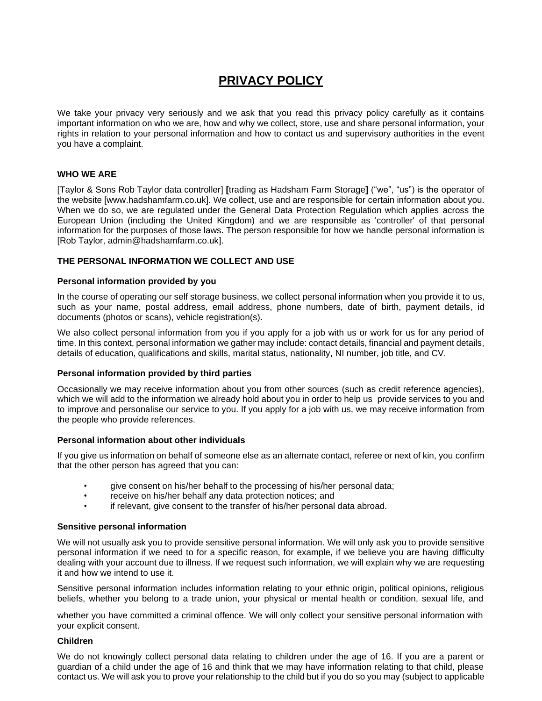# **PRIVACY POLICY**

We take your privacy very seriously and we ask that you read this privacy policy carefully as it contains important information on who we are, how and why we collect, store, use and share personal information, your rights in relation to your personal information and how to contact us and supervisory authorities in the event you have a complaint.

### **WHO WE ARE**

[Taylor & Sons Rob Taylor data controller] **[**trading as Hadsham Farm Storage**]** ("we", "us") is the operator of the website [www.hadshamfarm.co.uk]. We collect, use and are responsible for certain information about you. When we do so, we are regulated under the General Data Protection Regulation which applies across the European Union (including the United Kingdom) and we are responsible as 'controller' of that personal information for the purposes of those laws. The person responsible for how we handle personal information is [Rob Taylor, admin@hadshamfarm.co.uk].

### **THE PERSONAL INFORMATION WE COLLECT AND USE**

#### **Personal information provided by you**

In the course of operating our self storage business, we collect personal information when you provide it to us, such as your name, postal address, email address, phone numbers, date of birth, payment details, id documents (photos or scans), vehicle registration(s).

We also collect personal information from you if you apply for a job with us or work for us for any period of time. In this context, personal information we gather may include: contact details, financial and payment details, details of education, qualifications and skills, marital status, nationality, NI number, job title, and CV.

#### **Personal information provided by third parties**

Occasionally we may receive information about you from other sources (such as credit reference agencies), which we will add to the information we already hold about you in order to help us provide services to you and to improve and personalise our service to you. If you apply for a job with us, we may receive information from the people who provide references.

#### **Personal information about other individuals**

If you give us information on behalf of someone else as an alternate contact, referee or next of kin, you confirm that the other person has agreed that you can:

- give consent on his/her behalf to the processing of his/her personal data;
- receive on his/her behalf any data protection notices; and
- if relevant, give consent to the transfer of his/her personal data abroad.

#### **Sensitive personal information**

We will not usually ask you to provide sensitive personal information. We will only ask you to provide sensitive personal information if we need to for a specific reason, for example, if we believe you are having difficulty dealing with your account due to illness. If we request such information, we will explain why we are requesting it and how we intend to use it.

Sensitive personal information includes information relating to your ethnic origin, political opinions, religious beliefs, whether you belong to a trade union, your physical or mental health or condition, sexual life, and

whether you have committed a criminal offence. We will only collect your sensitive personal information with your explicit consent.

#### **Children**

We do not knowingly collect personal data relating to children under the age of 16. If you are a parent or guardian of a child under the age of 16 and think that we may have information relating to that child, please contact us. We will ask you to prove your relationship to the child but if you do so you may (subject to applicable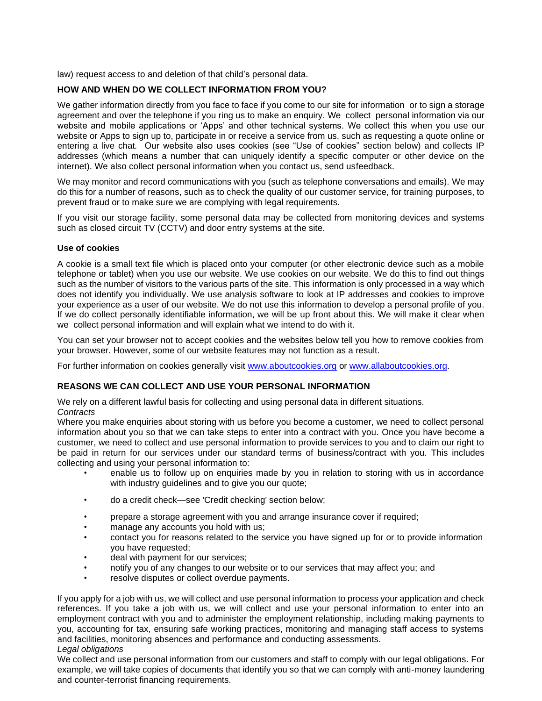law) request access to and deletion of that child's personal data.

# **HOW AND WHEN DO WE COLLECT INFORMATION FROM YOU?**

We gather information directly from you face to face if you come to our site for information or to sign a storage agreement and over the telephone if you ring us to make an enquiry. We collect personal information via our website and mobile applications or 'Apps' and other technical systems. We collect this when you use our website or Apps to sign up to, participate in or receive a service from us, such as requesting a quote online or entering a live chat*.* Our website also uses cookies (see "Use of cookies" section below) and collects IP addresses (which means a number that can uniquely identify a specific computer or other device on the internet). We also collect personal information when you contact us, send usfeedback.

We may monitor and record communications with you (such as telephone conversations and emails). We may do this for a number of reasons, such as to check the quality of our customer service, for training purposes, to prevent fraud or to make sure we are complying with legal requirements.

If you visit our storage facility, some personal data may be collected from monitoring devices and systems such as closed circuit TV (CCTV) and door entry systems at the site.

#### **Use of cookies**

A cookie is a small text file which is placed onto your computer (or other electronic device such as a mobile telephone or tablet) when you use our website. We use cookies on our website. We do this to find out things such as the number of visitors to the various parts of the site. This information is only processed in a way which does not identify you individually. We use analysis software to look at IP addresses and cookies to improve your experience as a user of our website. We do not use this information to develop a personal profile of you. If we do collect personally identifiable information, we will be up front about this. We will make it clear when we collect personal information and will explain what we intend to do with it.

You can set your browser not to accept cookies and the websites below tell you how to remove cookies from your browser. However, some of our website features may not function as a result.

For further information on cookies generally visit [www.aboutcookies.org](http://www.aboutcookies.org/) or [www.allaboutcookies.org.](http://www.allaboutcookies.org/)

# **REASONS WE CAN COLLECT AND USE YOUR PERSONAL INFORMATION**

We rely on a different lawful basis for collecting and using personal data in different situations. *Contracts*

Where you make enquiries about storing with us before you become a customer, we need to collect personal information about you so that we can take steps to enter into a contract with you. Once you have become a customer, we need to collect and use personal information to provide services to you and to claim our right to be paid in return for our services under our standard terms of business/contract with you. This includes collecting and using your personal information to:

- enable us to follow up on enquiries made by you in relation to storing with us in accordance with industry guidelines and to give you our quote;
- do a credit check—see 'Credit checking' section below;
- prepare a storage agreement with you and arrange insurance cover if required;
- manage any accounts you hold with us;
- contact you for reasons related to the service you have signed up for or to provide information you have requested;
- deal with payment for our services;
- notify you of any changes to our website or to our services that may affect you; and
- resolve disputes or collect overdue payments.

If you apply for a job with us, we will collect and use personal information to process your application and check references. If you take a job with us, we will collect and use your personal information to enter into an employment contract with you and to administer the employment relationship, including making payments to you, accounting for tax, ensuring safe working practices, monitoring and managing staff access to systems and facilities, monitoring absences and performance and conducting assessments.

## *Legal obligations*

We collect and use personal information from our customers and staff to comply with our legal obligations. For example, we will take copies of documents that identify you so that we can comply with anti-money laundering and counter-terrorist financing requirements.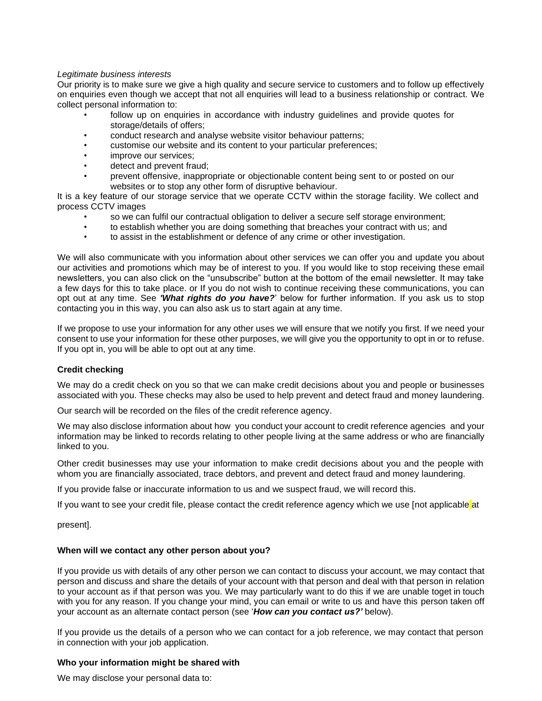### *Legitimate business interests*

Our priority is to make sure we give a high quality and secure service to customers and to follow up effectively on enquiries even though we accept that not all enquiries will lead to a business relationship or contract. We collect personal information to:

- follow up on enquiries in accordance with industry guidelines and provide quotes for storage/details of offers;
- conduct research and analyse website visitor behaviour patterns;
- customise our website and its content to your particular preferences;
- improve our services;
- detect and prevent fraud;
- prevent offensive, inappropriate or objectionable content being sent to or posted on our websites or to stop any other form of disruptive behaviour.

It is a key feature of our storage service that we operate CCTV within the storage facility. We collect and process CCTV images

- so we can fulfil our contractual obligation to deliver a secure self storage environment;
- to establish whether you are doing something that breaches your contract with us; and
- to assist in the establishment or defence of any crime or other investigation.

We will also communicate with you information about other services we can offer you and update you about our activities and promotions which may be of interest to you. If you would like to stop receiving these email newsletters, you can also click on the "unsubscribe" button at the bottom of the email newsletter. It may take a few days for this to take place. or If you do not wish to continue receiving these communications, you can opt out at any time. See *'What rights do you have?*' below for further information. If you ask us to stop contacting you in this way, you can also ask us to start again at any time.

If we propose to use your information for any other uses we will ensure that we notify you first. If we need your consent to use your information for these other purposes, we will give you the opportunity to opt in or to refuse. If you opt in, you will be able to opt out at any time.

### **Credit checking**

We may do a credit check on you so that we can make credit decisions about you and people or businesses associated with you. These checks may also be used to help prevent and detect fraud and money laundering.

Our search will be recorded on the files of the credit reference agency.

We may also disclose information about how you conduct your account to credit reference agencies and your information may be linked to records relating to other people living at the same address or who are financially linked to you.

Other credit businesses may use your information to make credit decisions about you and the people with whom you are financially associated, trace debtors, and prevent and detect fraud and money laundering.

If you provide false or inaccurate information to us and we suspect fraud, we will record this.

If you want to see your credit file, please contact the credit reference agency which we use [not applicable at

present].

### **When will we contact any other person about you?**

If you provide us with details of any other person we can contact to discuss your account, we may contact that person and discuss and share the details of your account with that person and deal with that person in relation to your account as if that person was you. We may particularly want to do this if we are unable toget in touch with you for any reason. If you change your mind, you can email or write to us and have this person taken off your account as an alternate contact person (see '*How can you contact us?'* below).

If you provide us the details of a person who we can contact for a job reference, we may contact that person in connection with your job application.

### **Who your information might be shared with**

We may disclose your personal data to: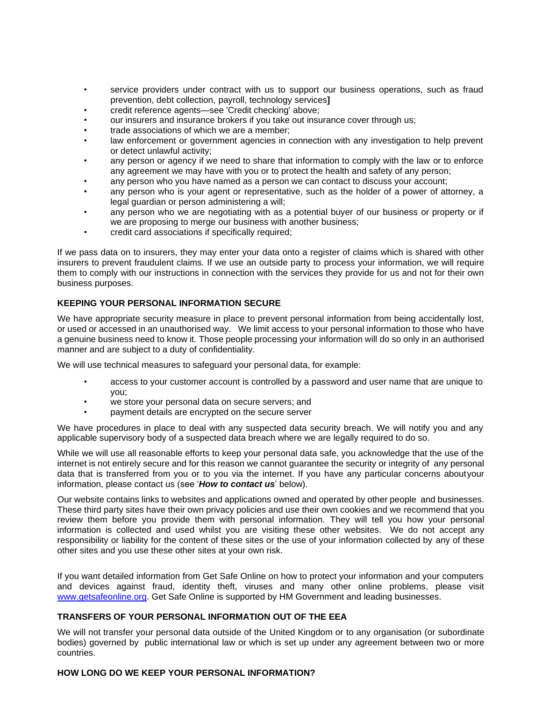- service providers under contract with us to support our business operations, such as fraud prevention, debt collection, payroll, technology services**]**
- credit reference agents—see 'Credit checking' above;
- our insurers and insurance brokers if you take out insurance cover through us;
- trade associations of which we are a member;
- law enforcement or government agencies in connection with any investigation to help prevent or detect unlawful activity;
- any person or agency if we need to share that information to comply with the law or to enforce any agreement we may have with you or to protect the health and safety of any person;
- any person who you have named as a person we can contact to discuss your account;
- any person who is your agent or representative, such as the holder of a power of attorney, a legal guardian or person administering a will;
- any person who we are negotiating with as a potential buyer of our business or property or if we are proposing to merge our business with another business;
- credit card associations if specifically required;

If we pass data on to insurers, they may enter your data onto a register of claims which is shared with other insurers to prevent fraudulent claims. If we use an outside party to process your information, we will require them to comply with our instructions in connection with the services they provide for us and not for their own business purposes.

# **KEEPING YOUR PERSONAL INFORMATION SECURE**

We have appropriate security measure in place to prevent personal information from being accidentally lost, or used or accessed in an unauthorised way. We limit access to your personal information to those who have a genuine business need to know it. Those people processing your information will do so only in an authorised manner and are subject to a duty of confidentiality.

We will use technical measures to safeguard your personal data, for example:

- access to your customer account is controlled by a password and user name that are unique to you;
- we store your personal data on secure servers; and
- payment details are encrypted on the secure server

We have procedures in place to deal with any suspected data security breach. We will notify you and any applicable supervisory body of a suspected data breach where we are legally required to do so.

While we will use all reasonable efforts to keep your personal data safe, you acknowledge that the use of the internet is not entirely secure and for this reason we cannot guarantee the security or integrity of any personal data that is transferred from you or to you via the internet. If you have any particular concerns aboutyour information, please contact us (see '*How to contact us*' below).

Our website contains links to websites and applications owned and operated by other people and businesses. These third party sites have their own privacy policies and use their own cookies and we recommend that you review them before you provide them with personal information. They will tell you how your personal information is collected and used whilst you are visiting these other websites. We do not accept any responsibility or liability for the content of these sites or the use of your information collected by any of these other sites and you use these other sites at your own risk.

If you want detailed information from Get Safe Online on how to protect your information and your computers and devices against fraud, identity theft, viruses and many other online problems, please visit [www.getsafeonline.org.](http://www.getsafeonline.org/) Get Safe Online is supported by HM Government and leading businesses.

### **TRANSFERS OF YOUR PERSONAL INFORMATION OUT OF THE EEA**

We will not transfer your personal data outside of the United Kingdom or to any organisation (or subordinate bodies) governed by public international law or which is set up under any agreement between two or more countries.

### **HOW LONG DO WE KEEP YOUR PERSONAL INFORMATION?**